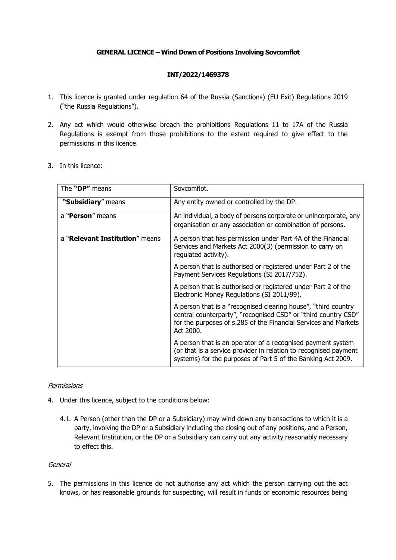## **GENERAL LICENCE – Wind Down of Positions Involving Sovcomflot**

## **INT/2022/1469378**

- 1. This licence is granted under regulation 64 of the Russia (Sanctions) (EU Exit) Regulations 2019 ("the Russia Regulations").
- 2. Any act which would otherwise breach the prohibitions Regulations 11 to 17A of the Russia Regulations is exempt from those prohibitions to the extent required to give effect to the permissions in this licence.
- 3. In this licence:

| The "DP" means                 | Sovcomflot.                                                                                                                                                                                                      |
|--------------------------------|------------------------------------------------------------------------------------------------------------------------------------------------------------------------------------------------------------------|
| "Subsidiary" means             | Any entity owned or controlled by the DP.                                                                                                                                                                        |
| a " <b>Person</b> " means      | An individual, a body of persons corporate or unincorporate, any<br>organisation or any association or combination of persons.                                                                                   |
| a "Relevant Institution" means | A person that has permission under Part 4A of the Financial<br>Services and Markets Act 2000(3) (permission to carry on<br>regulated activity).                                                                  |
|                                | A person that is authorised or registered under Part 2 of the<br>Payment Services Regulations (SI 2017/752).                                                                                                     |
|                                | A person that is authorised or registered under Part 2 of the<br>Electronic Money Regulations (SI 2011/99).                                                                                                      |
|                                | A person that is a "recognised clearing house", "third country<br>central counterparty", "recognised CSD" or "third country CSD"<br>for the purposes of s.285 of the Financial Services and Markets<br>Act 2000. |
|                                | A person that is an operator of a recognised payment system<br>(or that is a service provider in relation to recognised payment<br>systems) for the purposes of Part 5 of the Banking Act 2009.                  |

## **Permissions**

- 4. Under this licence, subject to the conditions below:
	- 4.1. A Person (other than the DP or a Subsidiary) may wind down any transactions to which it is a party, involving the DP or a Subsidiary including the closing out of any positions, and a Person, Relevant Institution, or the DP or a Subsidiary can carry out any activity reasonably necessary to effect this.

## General

5. The permissions in this licence do not authorise any act which the person carrying out the act knows, or has reasonable grounds for suspecting, will result in funds or economic resources being